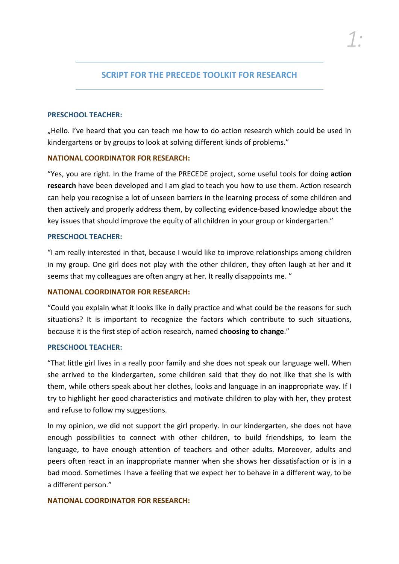# **SCRIPT FOR THE PRECEDE TOOLKIT FOR RESEARCH**

#### **PRESCHOOL TEACHER:**

"Hello. I've heard that you can teach me how to do action research which could be used in kindergartens or by groups to look at solving different kinds of problems."

### **NATIONAL COORDINATOR FOR RESEARCH:**

"Yes, you are right. In the frame of the PRECEDE project, some useful tools for doing **action research** have been developed and I am glad to teach you how to use them. Action research can help you recognise a lot of unseen barriers in the learning process of some children and then actively and properly address them, by collecting evidence-based knowledge about the key issues that should improve the equity of all children in your group or kindergarten."

### **PRESCHOOL TEACHER:**

"I am really interested in that, because I would like to improve relationships among children in my group. One girl does not play with the other children, they often laugh at her and it seems that my colleagues are often angry at her. It really disappoints me. "

### **NATIONAL COORDINATOR FOR RESEARCH:**

"Could you explain what it looks like in daily practice and what could be the reasons for such situations? It is important to recognize the factors which contribute to such situations, because it is the first step of action research, named **choosing to change**."

### **PRESCHOOL TEACHER:**

"That little girl lives in a really poor family and she does not speak our language well. When she arrived to the kindergarten, some children said that they do not like that she is with them, while others speak about her clothes, looks and language in an inappropriate way. If I try to highlight her good characteristics and motivate children to play with her, they protest and refuse to follow my suggestions.

In my opinion, we did not support the girl properly. In our kindergarten, she does not have enough possibilities to connect with other children, to build friendships, to learn the language, to have enough attention of teachers and other adults. Moreover, adults and peers often react in an inappropriate manner when she shows her dissatisfaction or is in a bad mood. Sometimes I have a feeling that we expect her to behave in a different way, to be a different person."

### **NATIONAL COORDINATOR FOR RESEARCH:**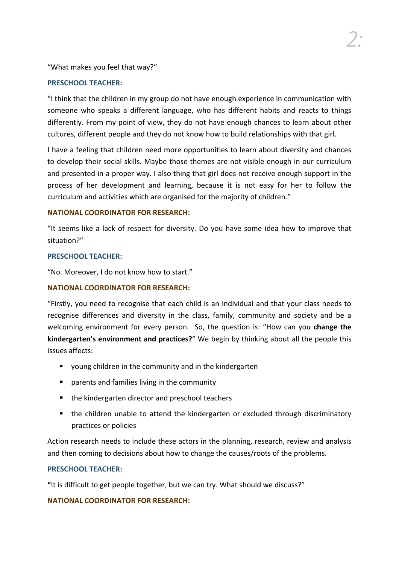"What makes you feel that way?"

### **PRESCHOOL TEACHER:**

"I think that the children in my group do not have enough experience in communication with someone who speaks a different language, who has different habits and reacts to things differently. From my point of view, they do not have enough chances to learn about other cultures, different people and they do not know how to build relationships with that girl.

*2:*

I have a feeling that children need more opportunities to learn about diversity and chances to develop their social skills. Maybe those themes are not visible enough in our curriculum and presented in a proper way. I also thing that girl does not receive enough support in the process of her development and learning, because it is not easy for her to follow the curriculum and activities which are organised for the majority of children."

### **NATIONAL COORDINATOR FOR RESEARCH:**

"It seems like a lack of respect for diversity. Do you have some idea how to improve that situation?"

#### **PRESCHOOL TEACHER:**

"No. Moreover, I do not know how to start."

### **NATIONAL COORDINATOR FOR RESEARCH:**

"Firstly, you need to recognise that each child is an individual and that your class needs to recognise differences and diversity in the class, family, community and society and be a welcoming environment for every person. So, the question is: "How can you **change the kindergarten's environment and practices?**" We begin by thinking about all the people this issues affects:

- young children in the community and in the kindergarten
- **P** parents and families living in the community
- the kindergarten director and preschool teachers
- **the children unable to attend the kindergarten or excluded through discriminatory** practices or policies

Action research needs to include these actors in the planning, research, review and analysis and then coming to decisions about how to change the causes/roots of the problems.

### **PRESCHOOL TEACHER:**

**"**It is difficult to get people together, but we can try. What should we discuss?"

### **NATIONAL COORDINATOR FOR RESEARCH:**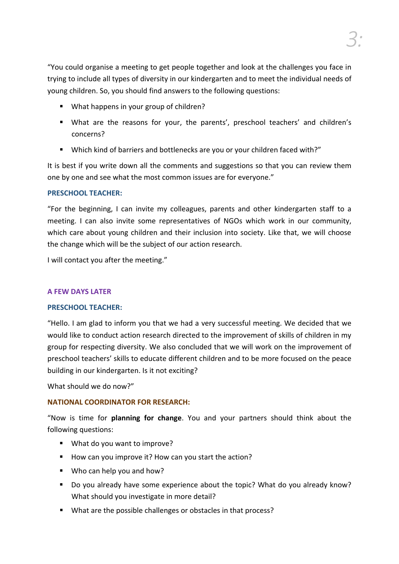"You could organise a meeting to get people together and look at the challenges you face in trying to include all types of diversity in our kindergarten and to meet the individual needs of young children. So, you should find answers to the following questions:

- What happens in your group of children?
- What are the reasons for your, the parents', preschool teachers' and children's concerns?
- Which kind of barriers and bottlenecks are you or your children faced with?"

It is best if you write down all the comments and suggestions so that you can review them one by one and see what the most common issues are for everyone."

### **PRESCHOOL TEACHER:**

"For the beginning, I can invite my colleagues, parents and other kindergarten staff to a meeting. I can also invite some representatives of NGOs which work in our community, which care about young children and their inclusion into society. Like that, we will choose the change which will be the subject of our action research.

I will contact you after the meeting."

# **A FEW DAYS LATER**

### **PRESCHOOL TEACHER:**

"Hello. I am glad to inform you that we had a very successful meeting. We decided that we would like to conduct action research directed to the improvement of skills of children in my group for respecting diversity. We also concluded that we will work on the improvement of preschool teachers' skills to educate different children and to be more focused on the peace building in our kindergarten. Is it not exciting?

What should we do now?"

# **NATIONAL COORDINATOR FOR RESEARCH:**

"Now is time for **planning for change**. You and your partners should think about the following questions:

- What do you want to improve?
- How can you improve it? How can you start the action?
- Who can help you and how?
- Do you already have some experience about the topic? What do you already know? What should you investigate in more detail?
- What are the possible challenges or obstacles in that process?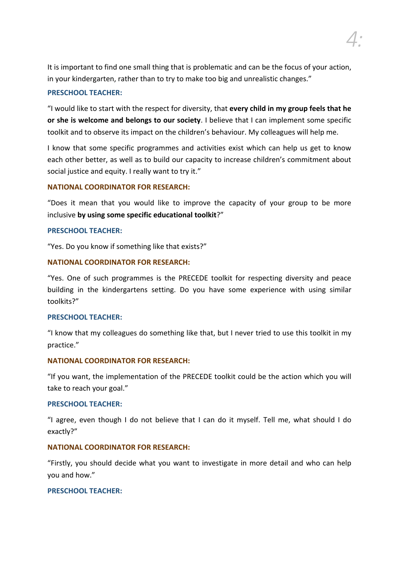*4:*

It is important to find one small thing that is problematic and can be the focus of your action, in your kindergarten, rather than to try to make too big and unrealistic changes."

### **PRESCHOOL TEACHER:**

"I would like to start with the respect for diversity, that **every child in my group feels that he or she is welcome and belongs to our society**. I believe that I can implement some specific toolkit and to observe its impact on the children's behaviour. My colleagues will help me.

I know that some specific programmes and activities exist which can help us get to know each other better, as well as to build our capacity to increase children's commitment about social justice and equity. I really want to try it."

### **NATIONAL COORDINATOR FOR RESEARCH:**

"Does it mean that you would like to improve the capacity of your group to be more inclusive **by using some specific educational toolkit**?"

### **PRESCHOOL TEACHER:**

"Yes. Do you know if something like that exists?"

# **NATIONAL COORDINATOR FOR RESEARCH:**

"Yes. One of such programmes is the PRECEDE toolkit for respecting diversity and peace building in the kindergartens setting. Do you have some experience with using similar toolkits?"

### **PRESCHOOL TEACHER:**

"I know that my colleagues do something like that, but I never tried to use this toolkit in my practice."

### **NATIONAL COORDINATOR FOR RESEARCH:**

"If you want, the implementation of the PRECEDE toolkit could be the action which you will take to reach your goal."

### **PRESCHOOL TEACHER:**

"I agree, even though I do not believe that I can do it myself. Tell me, what should I do exactly?"

### **NATIONAL COORDINATOR FOR RESEARCH:**

"Firstly, you should decide what you want to investigate in more detail and who can help you and how."

# **PRESCHOOL TEACHER:**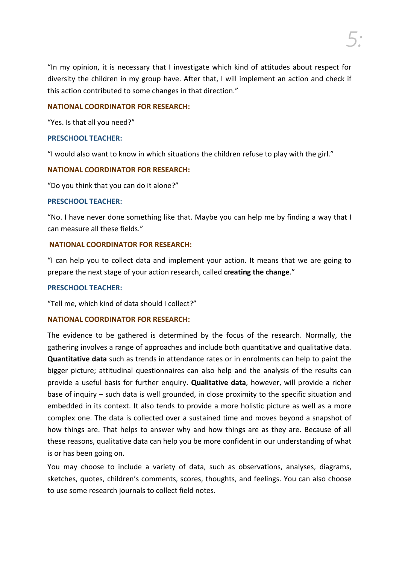"In my opinion, it is necessary that I investigate which kind of attitudes about respect for diversity the children in my group have. After that, I will implement an action and check if this action contributed to some changes in that direction."

### **NATIONAL COORDINATOR FOR RESEARCH:**

"Yes. Is that all you need?"

### **PRESCHOOL TEACHER:**

"I would also want to know in which situations the children refuse to play with the girl."

### **NATIONAL COORDINATOR FOR RESEARCH:**

"Do you think that you can do it alone?"

### **PRESCHOOL TEACHER:**

"No. I have never done something like that. Maybe you can help me by finding a way that I can measure all these fields."

### **NATIONAL COORDINATOR FOR RESEARCH:**

"I can help you to collect data and implement your action. It means that we are going to prepare the next stage of your action research, called **creating the change**."

### **PRESCHOOL TEACHER:**

"Tell me, which kind of data should I collect?"

# **NATIONAL COORDINATOR FOR RESEARCH:**

The evidence to be gathered is determined by the focus of the research. Normally, the gathering involves a range of approaches and include both quantitative and qualitative data. **Quantitative data** such as trends in attendance rates or in enrolments can help to paint the bigger picture; attitudinal questionnaires can also help and the analysis of the results can provide a useful basis for further enquiry. **Qualitative data**, however, will provide a richer base of inquiry – such data is well grounded, in close proximity to the specific situation and embedded in its context. It also tends to provide a more holistic picture as well as a more complex one. The data is collected over a sustained time and moves beyond a snapshot of how things are. That helps to answer why and how things are as they are. Because of all these reasons, qualitative data can help you be more confident in our understanding of what is or has been going on.

You may choose to include a variety of data, such as observations, analyses, diagrams, sketches, quotes, children's comments, scores, thoughts, and feelings. You can also choose to use some research journals to collect field notes.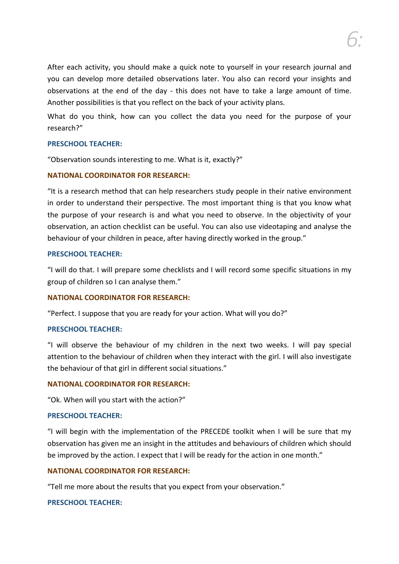After each activity, you should make a quick note to yourself in your research journal and you can develop more detailed observations later. You also can record your insights and observations at the end of the day - this does not have to take a large amount of time. Another possibilities is that you reflect on the back of your activity plans.

What do you think, how can you collect the data you need for the purpose of your research?"

### **PRESCHOOL TEACHER:**

"Observation sounds interesting to me. What is it, exactly?"

### **NATIONAL COORDINATOR FOR RESEARCH:**

"It is a research method that can help researchers study people in their native environment in order to understand their perspective. The most important thing is that you know what the purpose of your research is and what you need to observe. In the objectivity of your observation, an action checklist can be useful. You can also use videotaping and analyse the behaviour of your children in peace, after having directly worked in the group."

#### **PRESCHOOL TEACHER:**

"I will do that. I will prepare some checklists and I will record some specific situations in my group of children so I can analyse them."

### **NATIONAL COORDINATOR FOR RESEARCH:**

"Perfect. I suppose that you are ready for your action. What will you do?"

#### **PRESCHOOL TEACHER:**

"I will observe the behaviour of my children in the next two weeks. I will pay special attention to the behaviour of children when they interact with the girl. I will also investigate the behaviour of that girl in different social situations."

#### **NATIONAL COORDINATOR FOR RESEARCH:**

"Ok. When will you start with the action?"

#### **PRESCHOOL TEACHER:**

"I will begin with the implementation of the PRECEDE toolkit when I will be sure that my observation has given me an insight in the attitudes and behaviours of children which should be improved by the action. I expect that I will be ready for the action in one month."

#### **NATIONAL COORDINATOR FOR RESEARCH:**

"Tell me more about the results that you expect from your observation."

#### **PRESCHOOL TEACHER:**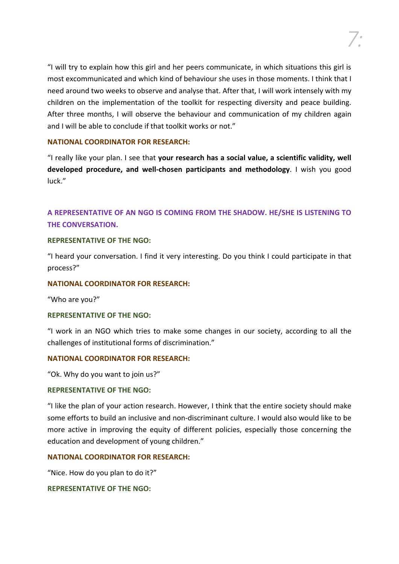"I will try to explain how this girl and her peers communicate, in which situations this girl is most excommunicated and which kind of behaviour she uses in those moments. I think that I need around two weeks to observe and analyse that. After that, I will work intensely with my children on the implementation of the toolkit for respecting diversity and peace building. After three months, I will observe the behaviour and communication of my children again and I will be able to conclude if that toolkit works or not."

### **NATIONAL COORDINATOR FOR RESEARCH:**

"I really like your plan. I see that **your research has a social value, a scientific validity, well developed procedure, and well-chosen participants and methodology**. I wish you good luck."

# **A REPRESENTATIVE OF AN NGO IS COMING FROM THE SHADOW. HE/SHE IS LISTENING TO THE CONVERSATION.**

### **REPRESENTATIVE OF THE NGO:**

"I heard your conversation. I find it very interesting. Do you think I could participate in that process?"

### **NATIONAL COORDINATOR FOR RESEARCH:**

"Who are you?"

### **REPRESENTATIVE OF THE NGO:**

"I work in an NGO which tries to make some changes in our society, according to all the challenges of institutional forms of discrimination."

### **NATIONAL COORDINATOR FOR RESEARCH:**

"Ok. Why do you want to join us?"

### **REPRESENTATIVE OF THE NGO:**

"I like the plan of your action research. However, I think that the entire society should make some efforts to build an inclusive and non-discriminant culture. I would also would like to be more active in improving the equity of different policies, especially those concerning the education and development of young children."

### **NATIONAL COORDINATOR FOR RESEARCH:**

"Nice. How do you plan to do it?"

# **REPRESENTATIVE OF THE NGO:**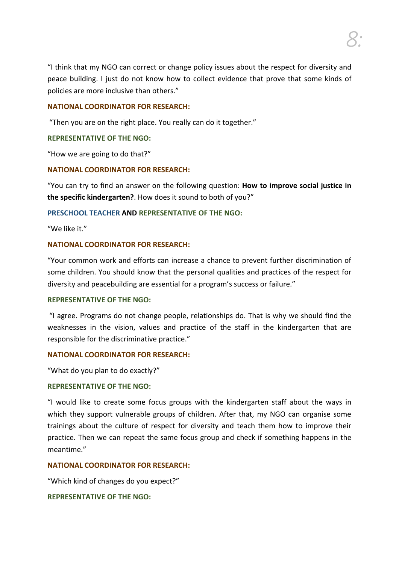*8:*

"I think that my NGO can correct or change policy issues about the respect for diversity and peace building. I just do not know how to collect evidence that prove that some kinds of policies are more inclusive than others."

### **NATIONAL COORDINATOR FOR RESEARCH:**

"Then you are on the right place. You really can do it together."

### **REPRESENTATIVE OF THE NGO:**

"How we are going to do that?"

### **NATIONAL COORDINATOR FOR RESEARCH:**

"You can try to find an answer on the following question: **How to improve social justice in the specific kindergarten?**. How does it sound to both of you?"

### **PRESCHOOL TEACHER AND REPRESENTATIVE OF THE NGO:**

"We like it."

### **NATIONAL COORDINATOR FOR RESEARCH:**

"Your common work and efforts can increase a chance to prevent further discrimination of some children. You should know that the personal qualities and practices of the respect for diversity and peacebuilding are essential for a program's success or failure."

### **REPRESENTATIVE OF THE NGO:**

"I agree. Programs do not change people, relationships do. That is why we should find the weaknesses in the vision, values and practice of the staff in the kindergarten that are responsible for the discriminative practice."

### **NATIONAL COORDINATOR FOR RESEARCH:**

"What do you plan to do exactly?"

### **REPRESENTATIVE OF THE NGO:**

"I would like to create some focus groups with the kindergarten staff about the ways in which they support vulnerable groups of children. After that, my NGO can organise some trainings about the culture of respect for diversity and teach them how to improve their practice. Then we can repeat the same focus group and check if something happens in the meantime."

### **NATIONAL COORDINATOR FOR RESEARCH:**

"Which kind of changes do you expect?"

### **REPRESENTATIVE OF THE NGO:**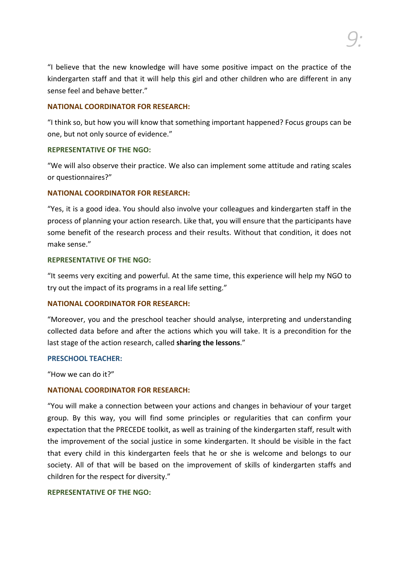"I believe that the new knowledge will have some positive impact on the practice of the kindergarten staff and that it will help this girl and other children who are different in any sense feel and behave better."

### **NATIONAL COORDINATOR FOR RESEARCH:**

"I think so, but how you will know that something important happened? Focus groups can be one, but not only source of evidence."

#### **REPRESENTATIVE OF THE NGO:**

"We will also observe their practice. We also can implement some attitude and rating scales or questionnaires?"

### **NATIONAL COORDINATOR FOR RESEARCH:**

"Yes, it is a good idea. You should also involve your colleagues and kindergarten staff in the process of planning your action research. Like that, you will ensure that the participants have some benefit of the research process and their results. Without that condition, it does not make sense."

### **REPRESENTATIVE OF THE NGO:**

"It seems very exciting and powerful. At the same time, this experience will help my NGO to try out the impact of its programs in a real life setting."

### **NATIONAL COORDINATOR FOR RESEARCH:**

"Moreover, you and the preschool teacher should analyse, interpreting and understanding collected data before and after the actions which you will take. It is a precondition for the last stage of the action research, called **sharing the lessons**."

#### **PRESCHOOL TEACHER:**

"How we can do it?"

### **NATIONAL COORDINATOR FOR RESEARCH:**

"You will make a connection between your actions and changes in behaviour of your target group. By this way, you will find some principles or regularities that can confirm your expectation that the PRECEDE toolkit, as well as training of the kindergarten staff, result with the improvement of the social justice in some kindergarten. It should be visible in the fact that every child in this kindergarten feels that he or she is welcome and belongs to our society. All of that will be based on the improvement of skills of kindergarten staffs and children for the respect for diversity."

#### **REPRESENTATIVE OF THE NGO:**